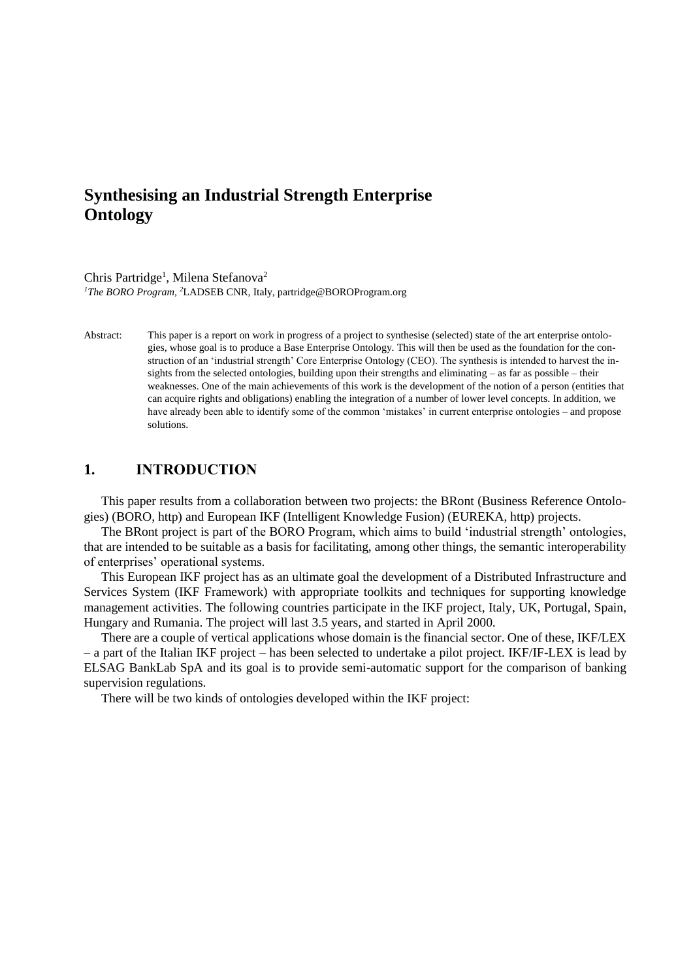# **Synthesising an Industrial Strength Enterprise Ontology**

Chris Partridge<sup>1</sup>, Milena Stefanova<sup>2</sup>

*<sup>1</sup>The BORO Program, <sup>2</sup>*LADSEB CNR, Italy, partridge@BOROProgram.org

Abstract: This paper is a report on work in progress of a project to synthesise (selected) state of the art enterprise ontologies, whose goal is to produce a Base Enterprise Ontology. This will then be used as the foundation for the construction of an 'industrial strength' Core Enterprise Ontology (CEO). The synthesis is intended to harvest the insights from the selected ontologies, building upon their strengths and eliminating – as far as possible – their weaknesses. One of the main achievements of this work is the development of the notion of a person (entities that can acquire rights and obligations) enabling the integration of a number of lower level concepts. In addition, we have already been able to identify some of the common 'mistakes' in current enterprise ontologies – and propose solutions.

# **1. INTRODUCTION**

This paper results from a collaboration between two projects: the BRont (Business Reference Ontologies) (BORO, http) and European IKF (Intelligent Knowledge Fusion) (EUREKA, http) projects.

The BRont project is part of the BORO Program, which aims to build 'industrial strength' ontologies, that are intended to be suitable as a basis for facilitating, among other things, the semantic interoperability of enterprises' operational systems.

This European IKF project has as an ultimate goal the development of a Distributed Infrastructure and Services System (IKF Framework) with appropriate toolkits and techniques for supporting knowledge management activities. The following countries participate in the IKF project, Italy, UK, Portugal, Spain, Hungary and Rumania. The project will last 3.5 years, and started in April 2000.

There are a couple of vertical applications whose domain is the financial sector. One of these, IKF/LEX – a part of the Italian IKF project – has been selected to undertake a pilot project. IKF/IF-LEX is lead by ELSAG BankLab SpA and its goal is to provide semi-automatic support for the comparison of banking supervision regulations.

There will be two kinds of ontologies developed within the IKF project: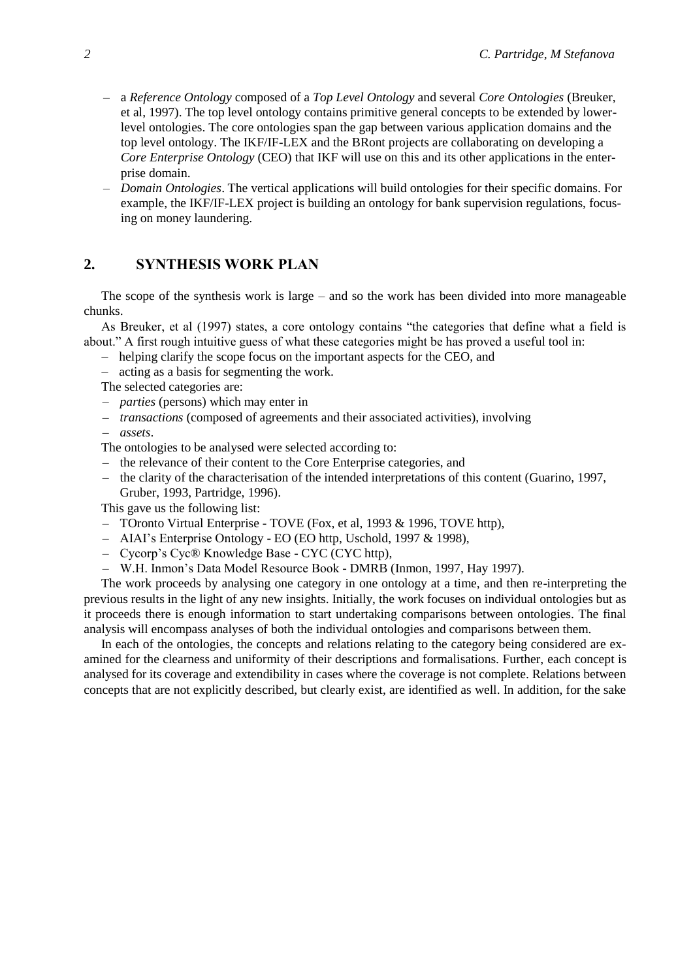- a *Reference Ontology* composed of a *Top Level Ontology* and several *Core Ontologies* (Breuker, et al, 1997). The top level ontology contains primitive general concepts to be extended by lowerlevel ontologies. The core ontologies span the gap between various application domains and the top level ontology. The IKF/IF-LEX and the BRont projects are collaborating on developing a *Core Enterprise Ontology* (CEO) that IKF will use on this and its other applications in the enterprise domain.
- *Domain Ontologies*. The vertical applications will build ontologies for their specific domains. For example, the IKF/IF-LEX project is building an ontology for bank supervision regulations, focusing on money laundering.

# **2. SYNTHESIS WORK PLAN**

The scope of the synthesis work is large – and so the work has been divided into more manageable chunks.

As Breuker, et al (1997) states, a core ontology contains "the categories that define what a field is about." A first rough intuitive guess of what these categories might be has proved a useful tool in:

- helping clarify the scope focus on the important aspects for the CEO, and
- acting as a basis for segmenting the work.

The selected categories are:

- *parties* (persons) which may enter in
- *transactions* (composed of agreements and their associated activities), involving
- *assets*.

The ontologies to be analysed were selected according to:

- the relevance of their content to the Core Enterprise categories, and
- the clarity of the characterisation of the intended interpretations of this content (Guarino, 1997, Gruber, 1993, Partridge, 1996).

This gave us the following list:

- TOronto Virtual Enterprise TOVE (Fox, et al, 1993 & 1996, TOVE http),
- AIAI's Enterprise Ontology EO (EO http, Uschold, 1997 & 1998),
- Cycorp's Cyc® Knowledge Base CYC (CYC http),
- W.H. Inmon's Data Model Resource Book DMRB (Inmon, 1997, Hay 1997).

The work proceeds by analysing one category in one ontology at a time, and then re-interpreting the previous results in the light of any new insights. Initially, the work focuses on individual ontologies but as it proceeds there is enough information to start undertaking comparisons between ontologies. The final analysis will encompass analyses of both the individual ontologies and comparisons between them.

In each of the ontologies, the concepts and relations relating to the category being considered are examined for the clearness and uniformity of their descriptions and formalisations. Further, each concept is analysed for its coverage and extendibility in cases where the coverage is not complete. Relations between concepts that are not explicitly described, but clearly exist, are identified as well. In addition, for the sake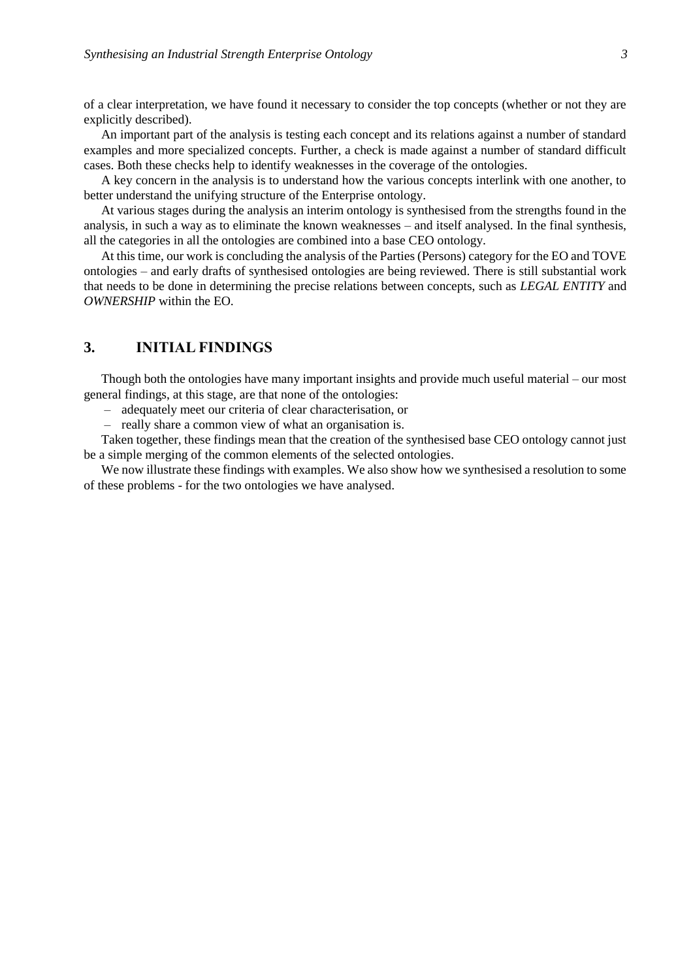of a clear interpretation, we have found it necessary to consider the top concepts (whether or not they are explicitly described).

An important part of the analysis is testing each concept and its relations against a number of standard examples and more specialized concepts. Further, a check is made against a number of standard difficult cases. Both these checks help to identify weaknesses in the coverage of the ontologies.

A key concern in the analysis is to understand how the various concepts interlink with one another, to better understand the unifying structure of the Enterprise ontology.

At various stages during the analysis an interim ontology is synthesised from the strengths found in the analysis, in such a way as to eliminate the known weaknesses – and itself analysed. In the final synthesis, all the categories in all the ontologies are combined into a base CEO ontology.

At this time, our work is concluding the analysis of the Parties (Persons) category for the EO and TOVE ontologies – and early drafts of synthesised ontologies are being reviewed. There is still substantial work that needs to be done in determining the precise relations between concepts, such as *LEGAL ENTITY* and *OWNERSHIP* within the EO.

## **3. INITIAL FINDINGS**

Though both the ontologies have many important insights and provide much useful material – our most general findings, at this stage, are that none of the ontologies:

- adequately meet our criteria of clear characterisation, or
- really share a common view of what an organisation is.

Taken together, these findings mean that the creation of the synthesised base CEO ontology cannot just be a simple merging of the common elements of the selected ontologies.

We now illustrate these findings with examples. We also show how we synthesised a resolution to some of these problems - for the two ontologies we have analysed.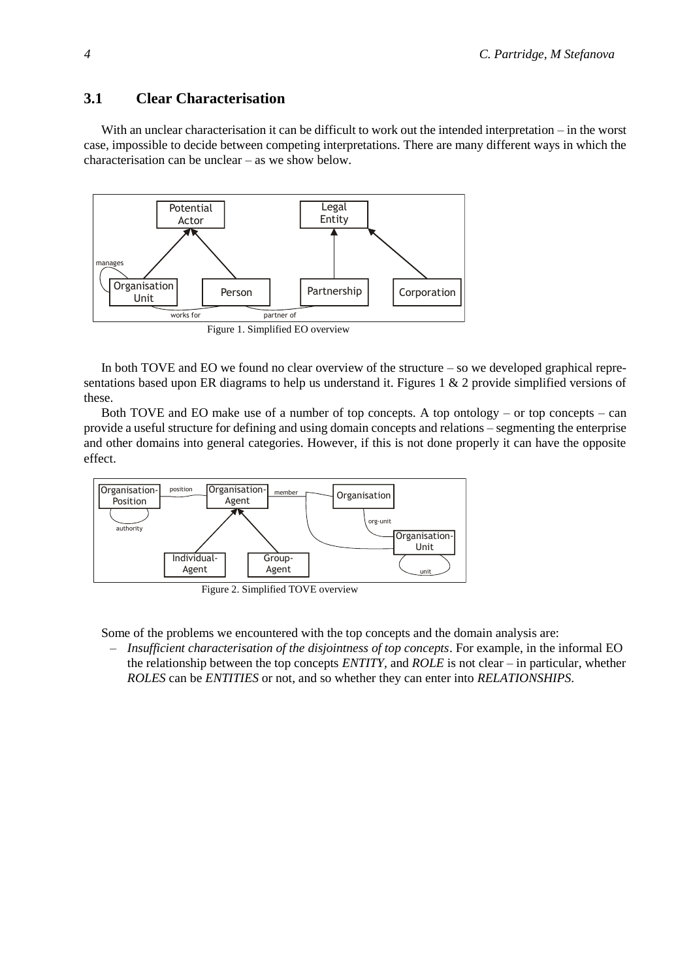## **3.1 Clear Characterisation**

With an unclear characterisation it can be difficult to work out the intended interpretation – in the worst case, impossible to decide between competing interpretations. There are many different ways in which the characterisation can be unclear – as we show below.



In both TOVE and EO we found no clear overview of the structure – so we developed graphical representations based upon ER diagrams to help us understand it. Figures 1 & 2 provide simplified versions of these.

Both TOVE and EO make use of a number of top concepts. A top ontology – or top concepts – can provide a useful structure for defining and using domain concepts and relations – segmenting the enterprise and other domains into general categories. However, if this is not done properly it can have the opposite effect.



Figure 2. Simplified TOVE overview

Some of the problems we encountered with the top concepts and the domain analysis are:

– *Insufficient characterisation of the disjointness of top concepts*. For example, in the informal EO the relationship between the top concepts *ENTITY,* and *ROLE* is not clear – in particular, whether *ROLES* can be *ENTITIES* or not, and so whether they can enter into *RELATIONSHIPS*.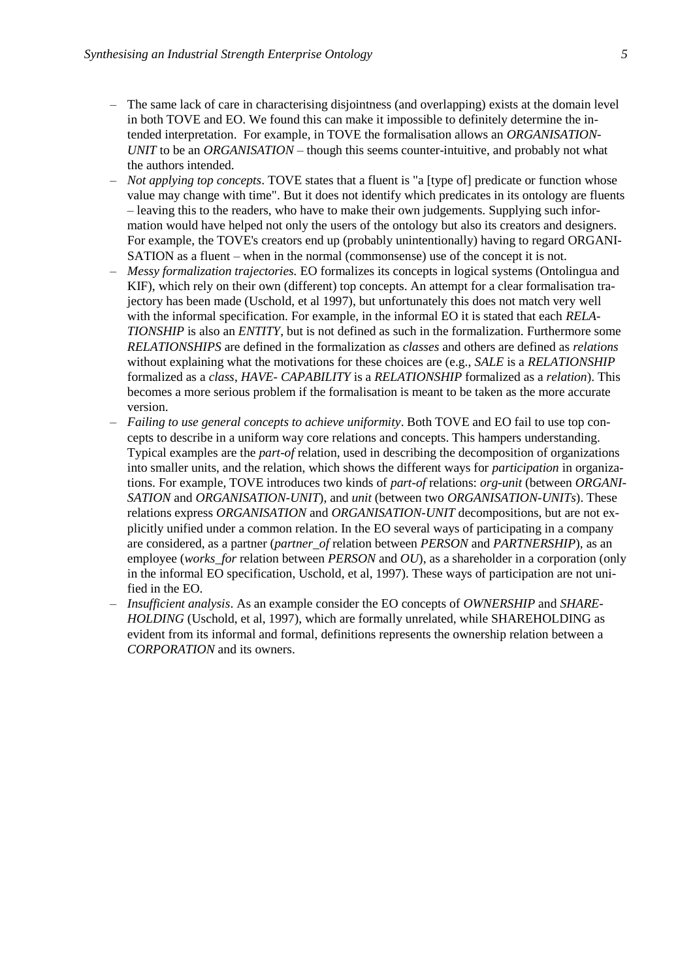- The same lack of care in characterising disjointness (and overlapping) exists at the domain level in both TOVE and EO. We found this can make it impossible to definitely determine the intended interpretation. For example, in TOVE the formalisation allows an *ORGANISATION-UNIT* to be an *ORGANISATION* – though this seems counter-intuitive, and probably not what the authors intended.
- *Not applying top concepts*. TOVE states that a fluent is "a [type of] predicate or function whose value may change with time". But it does not identify which predicates in its ontology are fluents – leaving this to the readers, who have to make their own judgements. Supplying such information would have helped not only the users of the ontology but also its creators and designers. For example, the TOVE's creators end up (probably unintentionally) having to regard ORGANI-SATION as a fluent – when in the normal (commonsense) use of the concept it is not.
- *Messy formalization trajectories.* EO formalizes its concepts in logical systems (Ontolingua and KIF), which rely on their own (different) top concepts. An attempt for a clear formalisation trajectory has been made (Uschold, et al 1997), but unfortunately this does not match very well with the informal specification. For example, in the informal EO it is stated that each *RELA-TIONSHIP* is also an *ENTITY*, but is not defined as such in the formalization. Furthermore some *RELATIONSHIPS* are defined in the formalization as *classes* and others are defined as *relations* without explaining what the motivations for these choices are (e.g., *SALE* is a *RELATIONSHIP* formalized as a *class*, *HAVE- CAPABILITY* is a *RELATIONSHIP* formalized as a *relation*). This becomes a more serious problem if the formalisation is meant to be taken as the more accurate version.
- *Failing to use general concepts to achieve uniformity*. Both TOVE and EO fail to use top concepts to describe in a uniform way core relations and concepts. This hampers understanding. Typical examples are the *part-of* relation, used in describing the decomposition of organizations into smaller units, and the relation, which shows the different ways for *participation* in organizations. For example, TOVE introduces two kinds of *part-of* relations: *org-unit* (between *ORGANI-SATION* and *ORGANISATION-UNIT*), and *unit* (between two *ORGANISATION-UNITs*). These relations express *ORGANISATION* and *ORGANISATION-UNIT* decompositions, but are not explicitly unified under a common relation. In the EO several ways of participating in a company are considered, as a partner (*partner\_of* relation between *PERSON* and *PARTNERSHIP*), as an employee (*works\_for* relation between *PERSON* and *OU*), as a shareholder in a corporation (only in the informal EO specification, Uschold, et al, 1997). These ways of participation are not unified in the EO.
- *Insufficient analysis*. As an example consider the EO concepts of *OWNERSHIP* and *SHARE-HOLDING* (Uschold, et al, 1997), which are formally unrelated, while SHAREHOLDING as evident from its informal and formal, definitions represents the ownership relation between a *CORPORATION* and its owners.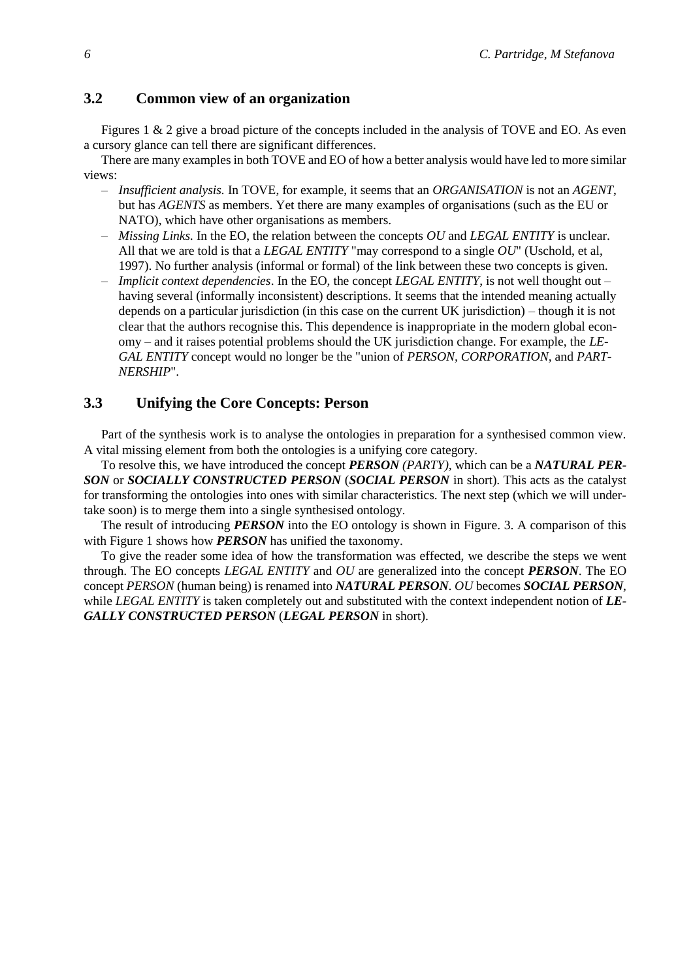## **3.2 Common view of an organization**

Figures 1  $\&$  2 give a broad picture of the concepts included in the analysis of TOVE and EO. As even a cursory glance can tell there are significant differences.

There are many examples in both TOVE and EO of how a better analysis would have led to more similar views:

- *Insufficient analysis.* In TOVE, for example, it seems that an *ORGANISATION* is not an *AGENT*, but has *AGENTS* as members. Yet there are many examples of organisations (such as the EU or NATO), which have other organisations as members.
- *Missing Links.* In the EO, the relation between the concepts *OU* and *LEGAL ENTITY* is unclear. All that we are told is that a *LEGAL ENTITY* "may correspond to a single *OU*" (Uschold, et al, 1997). No further analysis (informal or formal) of the link between these two concepts is given.
- *Implicit context dependencies*. In the EO, the concept *LEGAL ENTITY*, is not well thought out having several (informally inconsistent) descriptions. It seems that the intended meaning actually depends on a particular jurisdiction (in this case on the current UK jurisdiction) – though it is not clear that the authors recognise this. This dependence is inappropriate in the modern global economy – and it raises potential problems should the UK jurisdiction change. For example, the *LE-GAL ENTITY* concept would no longer be the "union of *PERSON, CORPORATION,* and *PART-NERSHIP*".

#### **3.3 Unifying the Core Concepts: Person**

Part of the synthesis work is to analyse the ontologies in preparation for a synthesised common view. A vital missing element from both the ontologies is a unifying core category.

To resolve this, we have introduced the concept *PERSON (PARTY),* which can be a *NATURAL PER-SON* or *SOCIALLY CONSTRUCTED PERSON* (*SOCIAL PERSON* in short). This acts as the catalyst for transforming the ontologies into ones with similar characteristics. The next step (which we will undertake soon) is to merge them into a single synthesised ontology.

The result of introducing *PERSON* into the EO ontology is shown in Figure. 3. A comparison of this with Figure 1 shows how *PERSON* has unified the taxonomy.

To give the reader some idea of how the transformation was effected, we describe the steps we went through. The EO concepts *LEGAL ENTITY* and *OU* are generalized into the concept *PERSON*. The EO concept *PERSON* (human being) is renamed into *NATURAL PERSON*. *OU* becomes *SOCIAL PERSON*, while *LEGAL ENTITY* is taken completely out and substituted with the context independent notion of *LE*-*GALLY CONSTRUCTED PERSON* (*LEGAL PERSON* in short).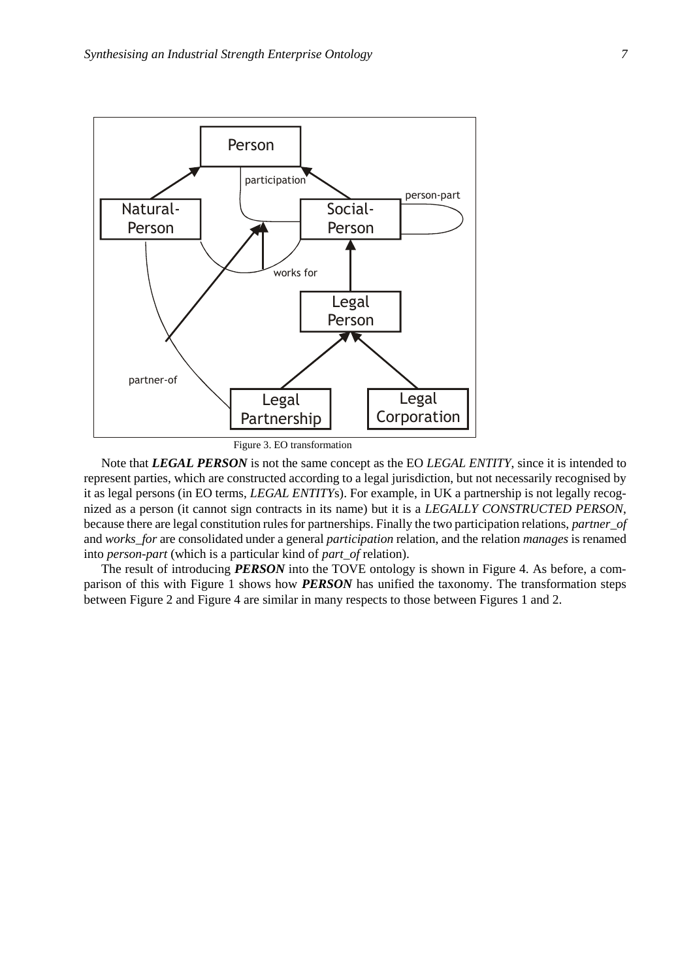

Figure 3. EO transformation

Note that *LEGAL PERSON* is not the same concept as the EO *LEGAL ENTITY*, since it is intended to represent parties, which are constructed according to a legal jurisdiction, but not necessarily recognised by it as legal persons (in EO terms, *LEGAL ENTITY*s). For example, in UK a partnership is not legally recognized as a person (it cannot sign contracts in its name) but it is a *LEGALLY CONSTRUCTED PERSON*, because there are legal constitution rules for partnerships. Finally the two participation relations, *partner\_of* and *works\_for* are consolidated under a general *participation* relation, and the relation *manages* is renamed into *person-part* (which is a particular kind of *part\_of* relation).

The result of introducing *PERSON* into the TOVE ontology is shown in Figure 4. As before, a comparison of this with Figure 1 shows how *PERSON* has unified the taxonomy. The transformation steps between Figure 2 and Figure 4 are similar in many respects to those between Figures 1 and 2.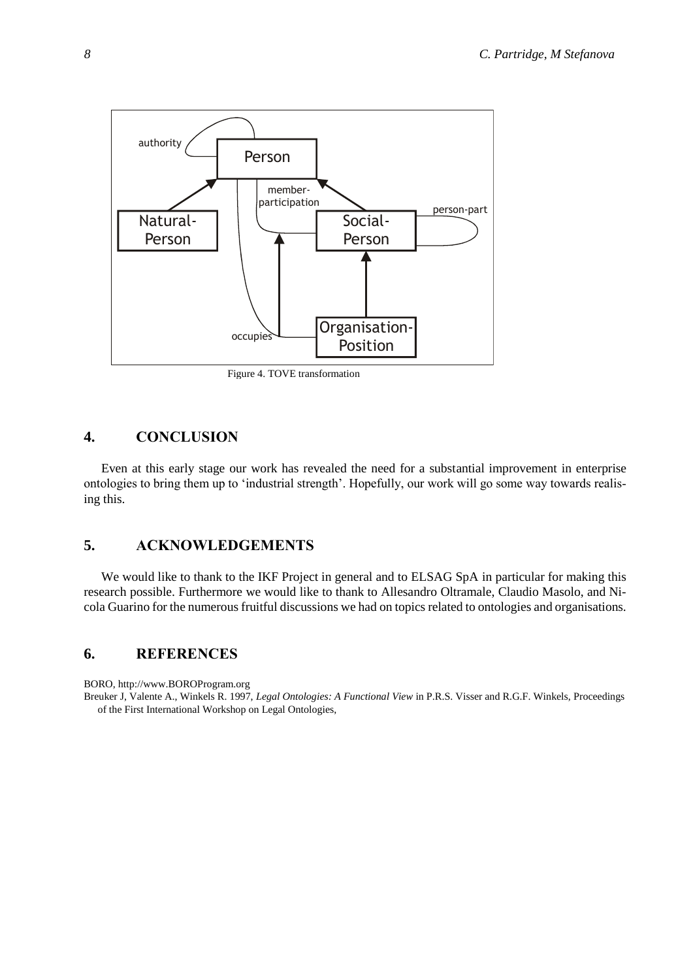

Figure 4. TOVE transformation

# **4. CONCLUSION**

Even at this early stage our work has revealed the need for a substantial improvement in enterprise ontologies to bring them up to 'industrial strength'. Hopefully, our work will go some way towards realising this.

# **5. ACKNOWLEDGEMENTS**

We would like to thank to the IKF Project in general and to ELSAG SpA in particular for making this research possible. Furthermore we would like to thank to Allesandro Oltramale, Claudio Masolo, and Nicola Guarino for the numerous fruitful discussions we had on topics related to ontologies and organisations.

#### **6. REFERENCES**

BORO, http://www.BOROProgram.org

Breuker J, Valente A., Winkels R. 1997, *Legal Ontologies: A Functional View* in P.R.S. Visser and R.G.F. Winkels, Proceedings of the First International Workshop on Legal Ontologies,